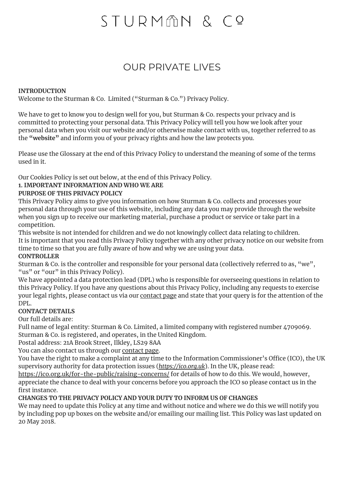### OUR PRIVATE LIVES

### **INTRODUCTION**

Welcome to the Sturman & Co. Limited ("Sturman & Co.") Privacy Policy.

We have to get to know you to design well for you, but Sturman & Co. respects your privacy and is committed to protecting your personal data. This Privacy Policy will tell you how we look after your personal data when you visit our website and/or otherwise make contact with us, together referred to as the **"website"** and inform you of your privacy rights and how the law protects you.

Please use the Glossary at the end of this Privacy Policy to understand the meaning of some of the terms used in it.

Our Cookies Policy is set out below, at the end of this Privacy Policy.

### **1. IMPORTANT INFORMATION AND WHO WE ARE**

### **PURPOSE OF THIS PRIVACY POLICY**

This Privacy Policy aims to give you information on how Sturman & Co. collects and processes your personal data through your use of this website, including any data you may provide through the website when you sign up to receive our marketing material, purchase a product or service or take part in a competition.

This website is not intended for children and we do not knowingly collect data relating to children. It is important that you read this Privacy Policy together with any other privacy notice on our website from time to time so that you are fully aware of how and why we are using your data.

### **CONTROLLER**

Sturman & Co. is the controller and responsible for your personal data (collectively referred to as, "we", "us" or "our" in this Privacy Policy).

We have appointed a data protection lead (DPL) who is responsible for overseeing questions in relation to this Privacy Policy. If you have any questions about this Privacy Policy, including any requests to exercise your legal rights, please [contact](https://www.sturmanco.com/contact-2/) us via our contact page and state that your query is for the attention of the DPL.

### **CONTACT DETAILS**

Our full details are:

Full name of legal entity: Sturman & Co. Limited, a limited company with registered number 4709069. Sturman & Co. is registered, and operates, in the United Kingdom.

Postal address: 21A Brook Street, Ilkley, LS29 8AA

You can also [contact](https://www.sturmanco.com/contact-2/) us through our contact page.

You have the right to make a complaint at any time to the Information Commissioner's Office (ICO), the UK supervisory authority for data protection issues (*[https://ico.org.uk](https://ico.org.uk/)*). In the UK, please read:

<https://ico.org.uk/for-the-public/raising-concerns/> for details of how to do this. We would, however, appreciate the chance to deal with your concerns before you approach the ICO so please contact us in the first instance.

### **CHANGES TO THE PRIVACY POLICY AND YOUR DUTY TO INFORM US OF CHANGES**

We may need to update this Policy at any time and without notice and where we do this we will notify you by including pop up boxes on the website and/or emailing our mailing list. This Policy was last updated on 20 May 2018.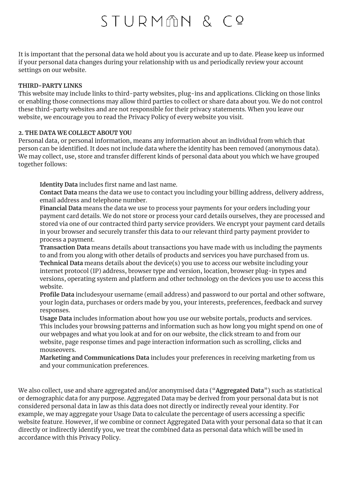It is important that the personal data we hold about you is accurate and up to date. Please keep us informed if your personal data changes during your relationship with us and periodically review your account settings on our website.

### **THIRD-PARTY LINKS**

This website may include links to third-party websites, plug-ins and applications. Clicking on those links or enabling those connections may allow third parties to collect or share data about you. We do not control these third-party websites and are not responsible for their privacy statements. When you leave our website, we encourage you to read the Privacy Policy of every website you visit.

### **2. THE DATA WE COLLECT ABOUT YOU**

Personal data, or personal information, means any information about an individual from which that person can be identified. It does not include data where the identity has been removed (anonymous data). We may collect, use, store and transfer different kinds of personal data about you which we have grouped together follows:

**Identity Data** includes first name and last name.

**Contact Data** means the data we use to contact you including your billing address, delivery address, email address and telephone number.

**Financial Data** means the data we use to process your payments for your orders including your payment card details. We do not store or process your card details ourselves, they are processed and stored via one of our contracted third party service providers. We encrypt your payment card details in your browser and securely transfer this data to our relevant third party payment provider to process a payment.

**Transaction Data** means details about transactions you have made with us including the payments to and from you along with other details of products and services you have purchased from us. **Technical Data** means details about the device(s) you use to access our website including your internet protocol (IP) address, browser type and version, location, browser plug-in types and versions, operating system and platform and other technology on the devices you use to access this website.

**Profile Data** includesyour username (email address) and password to our portal and other software, your login data, purchases or orders made by you, your interests, preferences, feedback and survey responses.

**Usage Data** includes information about how you use our website portals, products and services. This includes your browsing patterns and information such as how long you might spend on one of our webpages and what you look at and for on our website, the click stream to and from our website, page response times and page interaction information such as scrolling, clicks and mouseovers.

**Marketing and Communications Data** includes your preferences in receiving marketing from us and your communication preferences.

We also collect, use and share aggregated and/or anonymised data ("**Aggregated Data**") such as statistical or demographic data for any purpose. Aggregated Data may be derived from your personal data but is not considered personal data in law as this data does not directly or indirectly reveal your identity. For example, we may aggregate your Usage Data to calculate the percentage of users accessing a specific website feature. However, if we combine or connect Aggregated Data with your personal data so that it can directly or indirectly identify you, we treat the combined data as personal data which will be used in accordance with this Privacy Policy.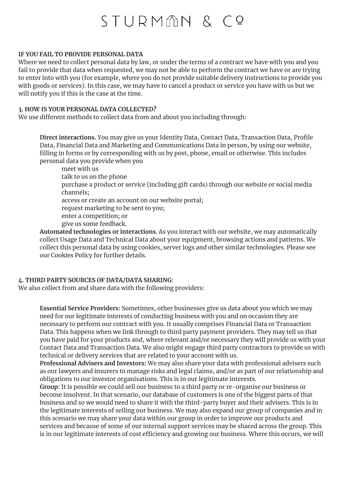#### **IF YOU FAIL TO PROVIDE PERSONAL DATA**

Where we need to collect personal data by law, or under the terms of a contract we have with you and you fail to provide that data when requested, we may not be able to perform the contract we have or are trying to enter into with you (for example, where you do not provide suitable delivery instructions to provide you with goods or services). In this case, we may have to cancel a product or service you have with us but we will notify you if this is the case at the time.

#### **3. HOW IS YOUR PERSONAL DATA COLLECTED?**

We use different methods to collect data from and about you including through:

**Direct interactions.** You may give us your Identity Data, Contact Data, Transaction Data, Profile Data, Financial Data and Marketing and Communications Data in person, by using our website, filling in forms or by corresponding with us by post, phone, email or otherwise. This includes personal data you provide when you

meet with us talk to us on the phone purchase a product or service (including gift cards) through our website or social media channels; access or create an account on our website portal; request marketing to be sent to you; enter a competition; or give us some feedback.

**Automated technologies or interactions**. As you interact with our website, we may automatically collect Usage Data and Technical Data about your equipment, browsing actions and patterns. We collect this personal data by using cookies, server logs and other similar technologies. Please see our Cookies Policy for further details.

#### **4. THIRD PARTY SOURCES OF DATA/DATA SHARING**:

We also collect from and share data with the following providers:

**Essential Service Providers:** Sometimes, other businesses give us data about you which we may need for our legitimate interests of conducting business with you and on occasion they are necessary to perform our contract with you. It usually comprises Financial Data or Transaction Data. This happens when we link through to third party payment providers. They may tell us that you have paid for your products and, where relevant and/or necessary they will provide us with your Contact Data and Transaction Data. We also might engage third party contractors to provide us with technical or delivery services that are related to your account with us.

**Professional Advisers and Investors:** We may also share your data with professional advisers such as our lawyers and insurers to manage risks and legal claims, and/or as part of our relationship and obligations to our investor organisations. This is in our legitimate interests.

**Group:** It is possible we could sell our business to a third party or re-organise our business or become insolvent. In that scenario, our database of customers is one of the biggest parts of that business and so we would need to share it with the third-party buyer and their advisers. This is in the legitimate interests of selling our business. We may also expand our group of companies and in this scenario we may share your data within our group in order to improve our products and services and because of some of our internal support services may be shared across the group. This is in our legitimate interests of cost efficiency and growing our business. Where this occurs, we will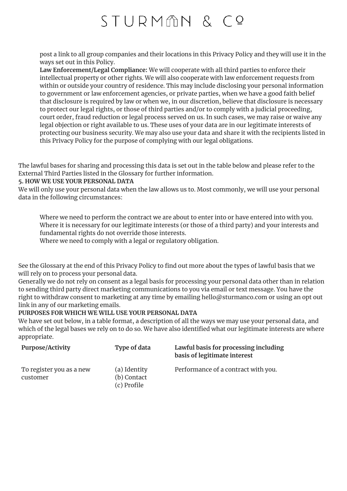post a link to all group companies and their locations in this Privacy Policy and they will use it in the ways set out in this Policy.

**Law Enforcement/Legal Compliance:** We will cooperate with all third parties to enforce their intellectual property or other rights. We will also cooperate with law enforcement requests from within or outside your country of residence. This may include disclosing your personal information to government or law enforcement agencies, or private parties, when we have a good faith belief that disclosure is required by law or when we, in our discretion, believe that disclosure is necessary to protect our legal rights, or those of third parties and/or to comply with a judicial proceeding, court order, fraud reduction or legal process served on us. In such cases, we may raise or waive any legal objection or right available to us. These uses of your data are in our legitimate interests of protecting our business security. We may also use your data and share it with the recipients listed in this Privacy Policy for the purpose of complying with our legal obligations.

The lawful bases for sharing and processing this data is set out in the table below and please refer to the External Third Parties listed in the Glossary for further information.

#### **5. HOW WE USE YOUR PERSONAL DATA**

We will only use your personal data when the law allows us to. Most commonly, we will use your personal data in the following circumstances:

Where we need to perform the contract we are about to enter into or have entered into with you. Where it is necessary for our legitimate interests (or those of a third party) and your interests and fundamental rights do not override those interests.

Where we need to comply with a legal or regulatory obligation.

See the Glossary at the end of this Privacy Policy to find out more about the types of lawful basis that we will rely on to process your personal data.

Generally we do not rely on consent as a legal basis for processing your personal data other than in relation to sending third party direct marketing communications to you via email or text message. You have the right to withdraw consent to marketing at any time by emailing hello@sturmanco.com or using an opt out link in any of our marketing emails.

### **PURPOSES FOR WHICH WE WILL USE YOUR PERSONAL DATA**

We have set out below, in a table format, a description of all the ways we may use your personal data, and which of the legal bases we rely on to do so. We have also identified what our legitimate interests are where appropriate.

| Purpose/Activity                     | Type of data                               | Lawful basis for processing including<br>basis of legitimate interest |
|--------------------------------------|--------------------------------------------|-----------------------------------------------------------------------|
| To register you as a new<br>customer | (a) Identity<br>(b) Contact<br>(c) Profile | Performance of a contract with you.                                   |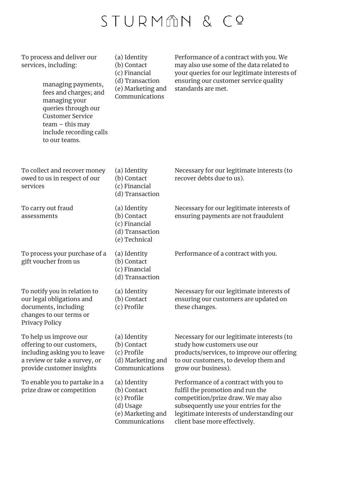| To process and deliver our<br>services, including:<br>managing payments,<br>fees and charges; and<br>managing your<br>queries through our<br><b>Customer Service</b><br>$team - this may$<br>include recording calls<br>to our teams. | (a) Identity<br>(b) Contact<br>(c) Financial<br>(d) Transaction<br>(e) Marketing and<br>Communications | Performance of a contract with you. We<br>may also use some of the data related to<br>your queries for our legitimate interests of<br>ensuring our customer service quality<br>standards are met.                                       |
|---------------------------------------------------------------------------------------------------------------------------------------------------------------------------------------------------------------------------------------|--------------------------------------------------------------------------------------------------------|-----------------------------------------------------------------------------------------------------------------------------------------------------------------------------------------------------------------------------------------|
| To collect and recover money<br>owed to us in respect of our<br>services                                                                                                                                                              | (a) Identity<br>(b) Contact<br>(c) Financial<br>(d) Transaction                                        | Necessary for our legitimate interests (to<br>recover debts due to us).                                                                                                                                                                 |
| To carry out fraud<br>assessments                                                                                                                                                                                                     | (a) Identity<br>(b) Contact<br>(c) Financial<br>(d) Transaction<br>(e) Technical                       | Necessary for our legitimate interests of<br>ensuring payments are not fraudulent                                                                                                                                                       |
| To process your purchase of a<br>gift voucher from us                                                                                                                                                                                 | (a) Identity<br>(b) Contact<br>(c) Financial<br>(d) Transaction                                        | Performance of a contract with you.                                                                                                                                                                                                     |
| To notify you in relation to<br>our legal obligations and<br>documents, including<br>changes to our terms or<br>Privacy Policy                                                                                                        | (a) Identity<br>(b) Contact<br>(c) Profile                                                             | Necessary for our legitimate interests of<br>ensuring our customers are updated on<br>these changes.                                                                                                                                    |
| To help us improve our<br>offering to our customers,<br>including asking you to leave<br>a review or take a survey, or<br>provide customer insights                                                                                   | (a) Identity<br>(b) Contact<br>(c) Profile<br>(d) Marketing and<br>Communications                      | Necessary for our legitimate interests (to<br>study how customers use our<br>products/services, to improve our offering<br>to our customers, to develop them and<br>grow our business).                                                 |
| To enable you to partake in a<br>prize draw or competition                                                                                                                                                                            | (a) Identity<br>(b) Contact<br>(c) Profile<br>(d) Usage<br>(e) Marketing and<br>Communications         | Performance of a contract with you to<br>fulfil the promotion and run the<br>competition/prize draw. We may also<br>subsequently use your entries for the<br>legitimate interests of understanding our<br>client base more effectively. |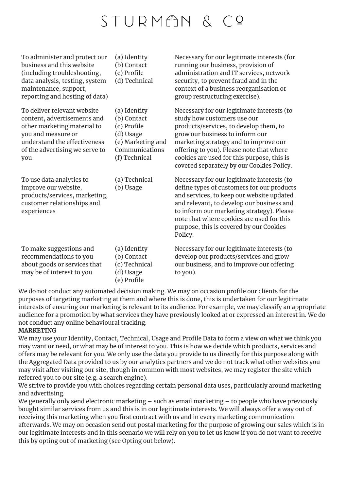| To administer and protect our<br>business and this website<br>(including troubleshooting,<br>data analysis, testing, system<br>maintenance, support,<br>reporting and hosting of data)   | (a) Identity<br>(b) Contact<br>(c) Profile<br>(d) Technical                                                     | Necessary for our legitimate interests (for<br>running our business, provision of<br>administration and IT services, network<br>security, to prevent fraud and in the<br>context of a business reorganisation or<br>group restructuring exercise).                                                                                     |
|------------------------------------------------------------------------------------------------------------------------------------------------------------------------------------------|-----------------------------------------------------------------------------------------------------------------|----------------------------------------------------------------------------------------------------------------------------------------------------------------------------------------------------------------------------------------------------------------------------------------------------------------------------------------|
| To deliver relevant website<br>content, advertisements and<br>other marketing material to<br>you and measure or<br>understand the effectiveness<br>of the advertising we serve to<br>you | (a) Identity<br>(b) Contact<br>(c) Profile<br>(d) Usage<br>(e) Marketing and<br>Communications<br>(f) Technical | Necessary for our legitimate interests (to<br>study how customers use our<br>products/services, to develop them, to<br>grow our business to inform our<br>marketing strategy and to improve our<br>offering to you). Please note that where<br>cookies are used for this purpose, this is<br>covered separately by our Cookies Policy. |
| To use data analytics to<br>improve our website,<br>products/services, marketing,<br>customer relationships and<br>experiences                                                           | (a) Technical<br>(b) Usage                                                                                      | Necessary for our legitimate interests (to<br>define types of customers for our products<br>and services, to keep our website updated<br>and relevant, to develop our business and<br>to inform our marketing strategy). Please<br>note that where cookies are used for this<br>purpose, this is covered by our Cookies<br>Policy.     |
| To make suggestions and<br>recommendations to you<br>about goods or services that<br>may be of interest to you                                                                           | (a) Identity<br>(b) Contact<br>(c) Technical<br>(d) Usage<br>(e) Profile                                        | Necessary for our legitimate interests (to<br>develop our products/services and grow<br>our business, and to improve our offering<br>to you).                                                                                                                                                                                          |

We do not conduct any automated decision making. We may on occasion profile our clients for the purposes of targeting marketing at them and where this is done, this is undertaken for our legitimate interests of ensuring our marketing is relevant to its audience. For example, we may classify an appropriate audience for a promotion by what services they have previously looked at or expressed an interest in. We do not conduct any online behavioural tracking.

#### **MARKETING**

We may use your Identity, Contact, Technical, Usage and Profile Data to form a view on what we think you may want or need, or what may be of interest to you. This is how we decide which products, services and offers may be relevant for you. We only use the data you provide to us directly for this purpose along with the Aggregated Data provided to us by our analytics partners and we do not track what other websites you may visit after visiting our site, though in common with most websites, we may register the site which referred you to our site (e.g. a search engine).

We strive to provide you with choices regarding certain personal data uses, particularly around marketing and advertising.

We generally only send electronic marketing – such as email marketing – to people who have previously bought similar services from us and this is in our legitimate interests. We will always offer a way out of receiving this marketing when you first contract with us and in every marketing communication afterwards. We may on occasion send out postal marketing for the purpose of growing our sales which is in our legitimate interests and in this scenario we will rely on you to let us know if you do not want to receive this by opting out of marketing (see Opting out below).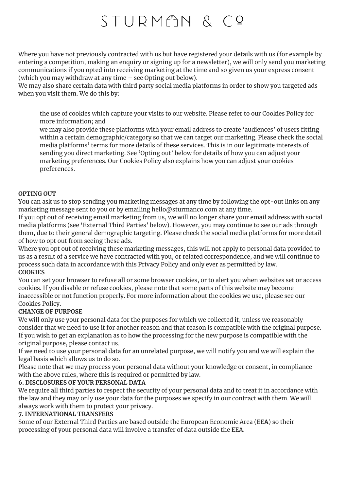Where you have not previously contracted with us but have registered your details with us (for example by entering a competition, making an enquiry or signing up for a newsletter), we will only send you marketing communications if you opted into receiving marketing at the time and so given us your express consent (which you may withdraw at any time – see Opting out below).

We may also share certain data with third party social media platforms in order to show you targeted ads when you visit them. We do this by:

the use of cookies which capture your visits to our website. Please refer to our Cookies Policy for more information; and

we may also provide these platforms with your email address to create 'audiences' of users fitting within a certain demographic/category so that we can target our marketing. Please check the social media platforms' terms for more details of these services. This is in our legitimate interests of sending you direct marketing. See 'Opting out' below for details of how you can adjust your marketing preferences. Our Cookies Policy also explains how you can adjust your cookies preferences.

### **OPTING OUT**

You can ask us to stop sending you marketing messages at any time by following the opt-out links on any marketing message sent to you or by emailing hello@sturmanco.com at any time.

If you opt out of receiving email marketing from us, we will no longer share your email address with social media platforms (see 'External Third Parties' below). However, you may continue to see our ads through them, due to their general demographic targeting. Please check the social media platforms for more detail of how to opt out from seeing these ads.

Where you opt out of receiving these marketing messages, this will not apply to personal data provided to us as a result of a service we have contracted with you, or related correspondence, and we will continue to process such data in accordance with this Privacy Policy and only ever as permitted by law. **COOKIES**

You can set your browser to refuse all or some browser cookies, or to alert you when websites set or access cookies. If you disable or refuse cookies, please note that some parts of this website may become inaccessible or not function properly. For more information about the cookies we use, please see our Cookies Policy.

### **CHANGE OF PURPOSE**

We will only use your personal data for the purposes for which we collected it, unless we reasonably consider that we need to use it for another reason and that reason is compatible with the original purpose. If you wish to get an explanation as to how the processing for the new purpose is compatible with the original purpose, please [contact](https://www.sturmanco.com/contact-2/) us.

If we need to use your personal data for an unrelated purpose, we will notify you and we will explain the legal basis which allows us to do so.

Please note that we may process your personal data without your knowledge or consent, in compliance with the above rules, where this is required or permitted by law.

### **6. DISCLOSURES OF YOUR PERSONAL DATA**

We require all third parties to respect the security of your personal data and to treat it in accordance with the law and they may only use your data for the purposes we specify in our contract with them. We will always work with them to protect your privacy.

### **7. INTERNATIONAL TRANSFERS**

Some of our External Third Parties are based outside the European Economic Area (**EEA**) so their processing of your personal data will involve a transfer of data outside the EEA.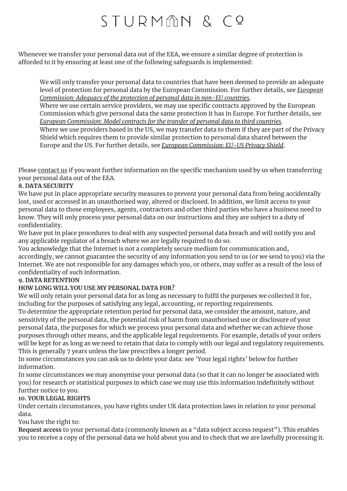Whenever we transfer your personal data out of the EEA, we ensure a similar degree of protection is afforded to it by ensuring at least one of the following safeguards is implemented:

We will only transfer your personal data to countries that have been deemed to provide an adequate level of protection for personal data by the European Commission. For further details, see *[European](https://ec.europa.eu/info/law/law-topic/data-protection/data-transfers-outside-eu/adequacy-protection-personal-data-non-eu-countries_en) [Commission:](https://ec.europa.eu/info/law/law-topic/data-protection/data-transfers-outside-eu/adequacy-protection-personal-data-non-eu-countries_en) Adequacy of the protection of personal data in non-EU countries*.

Where we use certain service providers, we may use specific contracts approved by the European Commission which give personal data the same protection it has in Europe. For further details, see *European [Commission:](https://ec.europa.eu/info/strategy/justice-and-fundamental-rights/data-protection/data-transfers-outside-eu/model-contracts-transfer-personal-data-third-countries_en) Model contracts for the transfer of personal data to third countries*. Where we use providers based in the US, we may transfer data to them if they are part of the Privacy Shield which requires them to provide similar protection to personal data shared between the Europe and the US. For further details, see *European [Commission:](https://ec.europa.eu/info/strategy/justice-and-fundamental-rights/data-protection/data-transfers-outside-eu/eu-us-privacy-shield_en) EU-US Privacy Shield*.

Please [contact](https://www.sturmanco.com/contact-2/) us if you want further information on the specific mechanism used by us when transferring your personal data out of the EEA.

### **8. DATA SECURITY**

We have put in place appropriate security measures to prevent your personal data from being accidentally lost, used or accessed in an unauthorised way, altered or disclosed. In addition, we limit access to your personal data to those employees, agents, contractors and other third parties who have a business need to know. They will only process your personal data on our instructions and they are subject to a duty of confidentiality.

We have put in place procedures to deal with any suspected personal data breach and will notify you and any applicable regulator of a breach where we are legally required to do so.

You acknowledge that the Internet is not a completely secure medium for communication and, accordingly, we cannot guarantee the security of any information you send to us (or we send to you) via the Internet. We are not responsible for any damages which you, or others, may suffer as a result of the loss of confidentiality of such information.

### **9. DATA RETENTION**

### **HOW LONG WILL YOU USE MY PERSONAL DATA FOR?**

We will only retain your personal data for as long as necessary to fulfil the purposes we collected it for, including for the purposes of satisfying any legal, accounting, or reporting requirements.

To determine the appropriate retention period for personal data, we consider the amount, nature, and sensitivity of the personal data, the potential risk of harm from unauthorised use or disclosure of your personal data, the purposes for which we process your personal data and whether we can achieve those purposes through other means, and the applicable legal requirements. For example, details of your orders will be kept for as long as we need to retain that data to comply with our legal and regulatory requirements. This is generally 7 years unless the law prescribes a longer period.

In some circumstances you can ask us to delete your data: see 'Your legal rights' below for further information.

In some circumstances we may anonymise your personal data (so that it can no longer be associated with you) for research or statistical purposes in which case we may use this information indefinitely without further notice to you.

### **10. YOUR LEGAL RIGHTS**

Under certain circumstances, you have rights under UK data protection laws in relation to your personal data.

You have the right to:

**Request access** to your personal data (commonly known as a "data subject access request"). This enables you to receive a copy of the personal data we hold about you and to check that we are lawfully processing it.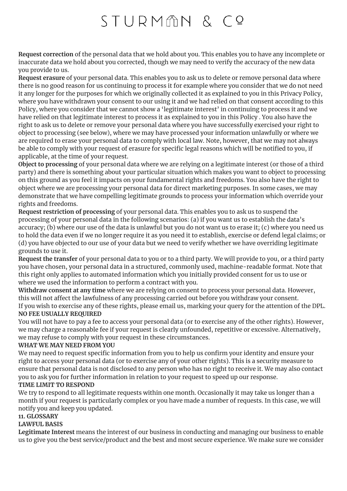**Request correction** of the personal data that we hold about you. This enables you to have any incomplete or inaccurate data we hold about you corrected, though we may need to verify the accuracy of the new data you provide to us.

**Request erasure** of your personal data. This enables you to ask us to delete or remove personal data where there is no good reason for us continuing to process it for example where you consider that we do not need it any longer for the purposes for which we originally collected it as explained to you in this Privacy Policy, where you have withdrawn your consent to our using it and we had relied on that consent according to this Policy, where you consider that we cannot show a 'legitimate interest' in continuing to process it and we have relied on that legitimate interest to process it as explained to you in this Policy . You also have the right to ask us to delete or remove your personal data where you have successfully exercised your right to object to processing (see below), where we may have processed your information unlawfully or where we are required to erase your personal data to comply with local law. Note, however, that we may not always be able to comply with your request of erasure for specific legal reasons which will be notified to you, if applicable, at the time of your request.

**Object to processing** of your personal data where we are relying on a legitimate interest (or those of a third party) and there is something about your particular situation which makes you want to object to processing on this ground as you feel it impacts on your fundamental rights and freedoms. You also have the right to object where we are processing your personal data for direct marketing purposes. In some cases, we may demonstrate that we have compelling legitimate grounds to process your information which override your rights and freedoms.

**Request restriction of processing** of your personal data. This enables you to ask us to suspend the processing of your personal data in the following scenarios: (a) if you want us to establish the data's accuracy; (b) where our use of the data is unlawful but you do not want us to erase it; (c) where you need us to hold the data even if we no longer require it as you need it to establish, exercise or defend legal claims; or (d) you have objected to our use of your data but we need to verify whether we have overriding legitimate grounds to use it.

**Request the transfer** of your personal data to you or to a third party. We will provide to you, or a third party you have chosen, your personal data in a structured, commonly used, machine-readable format. Note that this right only applies to automated information which you initially provided consent for us to use or where we used the information to perform a contract with you.

**Withdraw consent at any time** where we are relying on consent to process your personal data. However, this will not affect the lawfulness of any processing carried out before you withdraw your consent. If you wish to exercise any of these rights, please email us, marking your query for the attention of the DPL.

**NO FEE USUALLY REQUIRED**

You will not have to pay a fee to access your personal data (or to exercise any of the other rights). However, we may charge a reasonable fee if your request is clearly unfounded, repetitive or excessive. Alternatively, we may refuse to comply with your request in these circumstances.

### **WHAT WE MAY NEED FROM YOU**

We may need to request specific information from you to help us confirm your identity and ensure your right to access your personal data (or to exercise any of your other rights). This is a security measure to ensure that personal data is not disclosed to any person who has no right to receive it. We may also contact you to ask you for further information in relation to your request to speed up our response.

### **TIME LIMIT TO RESPOND**

We try to respond to all legitimate requests within one month. Occasionally it may take us longer than a month if your request is particularly complex or you have made a number of requests. In this case, we will notify you and keep you updated.

### **11. GLOSSARY**

### **LAWFUL BASIS**

**Legitimate Interest** means the interest of our business in conducting and managing our business to enable us to give you the best service/product and the best and most secure experience. We make sure we consider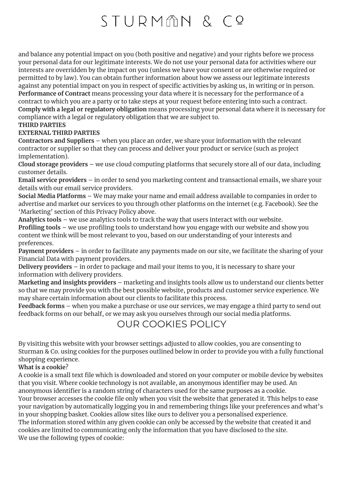and balance any potential impact on you (both positive and negative) and your rights before we process your personal data for our legitimate interests. We do not use your personal data for activities where our interests are overridden by the impact on you (unless we have your consent or are otherwise required or permitted to by law). You can obtain further information about how we assess our legitimate interests against any potential impact on you in respect of specific activities by asking us, in writing or in person. **Performance of Contract** means processing your data where it is necessary for the performance of a contract to which you are a party or to take steps at your request before entering into such a contract. **Comply with a legal or regulatory obligation** means processing your personal data where it is necessary for compliance with a legal or regulatory obligation that we are subject to.

### **THIRD PARTIES**

### **EXTERNAL THIRD PARTIES**

**Contractors and Suppliers** – when you place an order, we share your information with the relevant contractor or supplier so that they can process and deliver your product or service (such as project implementation).

**Cloud storage providers** – we use cloud computing platforms that securely store all of our data, including customer details.

**Email service providers** – in order to send you marketing content and transactional emails, we share your details with our email service providers.

**Social Media Platforms** – We may make your name and email address available to companies in order to advertise and market our services to you through other platforms on the internet (e.g. Facebook). See the 'Marketing' section of this Privacy Policy above.

**Analytics tools** – we use analytics tools to track the way that users interact with our website. **Profiling tools** – we use profiling tools to understand how you engage with our website and show you content we think will be most relevant to you, based on our understanding of your interests and preferences.

**Payment providers** – in order to facilitate any payments made on our site, we facilitate the sharing of your Financial Data with payment providers.

**Delivery providers** – in order to package and mail your items to you, it is necessary to share your information with delivery providers.

**Marketing and insights providers** – marketing and insights tools allow us to understand our clients better so that we may provide you with the best possible website, products and customer service experience. We may share certain information about our clients to facilitate this process.

**Feedback forms** – when you make a purchase or use our services, we may engage a third party to send out feedback forms on our behalf, or we may ask you ourselves through our social media platforms.

### OUR COOKIES POLICY

By visiting this website with your browser settings adjusted to allow cookies, you are consenting to Sturman & Co. using cookies for the purposes outlined below in order to provide you with a fully functional shopping experience.

### **What is a cookie**?

A cookie is a small text file which is downloaded and stored on your computer or mobile device by websites that you visit. Where cookie technology is not available, an anonymous identifier may be used. An anonymous identifier is a random string of characters used for the same purposes as a cookie. Your browser accesses the cookie file only when you visit the website that generated it. This helps to ease your navigation by automatically logging you in and remembering things like your preferences and what's in your shopping basket. Cookies allow sites like ours to deliver you a personalised experience. The information stored within any given cookie can only be accessed by the website that created it and cookies are limited to communicating only the information that you have disclosed to the site. We use the following types of cookie: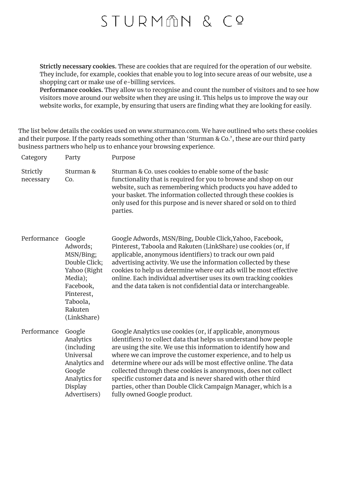**Strictly necessary cookies.** These are cookies that are required for the operation of our website. They include, for example, cookies that enable you to log into secure areas of our website, use a shopping cart or make use of e-billing services.

**Performance cookies.** They allow us to recognise and count the number of visitors and to see how visitors move around our website when they are using it. This helps us to improve the way our website works, for example, by ensuring that users are finding what they are looking for easily.

The list below details the cookies used on www.sturmanco.com. We have outlined who sets these cookies and their purpose. If the party reads something other than 'Sturman & Co.', these are our third party business partners who help us to enhance your browsing experience.

| Category              | Party                                                                                                                                        | Purpose                                                                                                                                                                                                                                                                                                                                                                                                                                                                                                                                                               |
|-----------------------|----------------------------------------------------------------------------------------------------------------------------------------------|-----------------------------------------------------------------------------------------------------------------------------------------------------------------------------------------------------------------------------------------------------------------------------------------------------------------------------------------------------------------------------------------------------------------------------------------------------------------------------------------------------------------------------------------------------------------------|
| Strictly<br>necessary | Sturman &<br>Co.                                                                                                                             | Sturman & Co. uses cookies to enable some of the basic<br>functionality that is required for you to browse and shop on our<br>website, such as remembering which products you have added to<br>your basket. The information collected through these cookies is<br>only used for this purpose and is never shared or sold on to third<br>parties.                                                                                                                                                                                                                      |
| Performance           | Google<br>Adwords;<br>MSN/Bing;<br>Double Click;<br>Yahoo (Right<br>Media);<br>Facebook,<br>Pinterest,<br>Taboola,<br>Rakuten<br>(LinkShare) | Google Adwords, MSN/Bing, Double Click, Yahoo, Facebook,<br>Pinterest, Taboola and Rakuten (LinkShare) use cookies (or, if<br>applicable, anonymous identifiers) to track our own paid<br>advertising activity. We use the information collected by these<br>cookies to help us determine where our ads will be most effective<br>online. Each individual advertiser uses its own tracking cookies<br>and the data taken is not confidential data or interchangeable.                                                                                                 |
| Performance           | Google<br>Analytics<br>(including<br>Universal<br>Analytics and<br>Google<br>Analytics for<br>Display<br>Advertisers)                        | Google Analytics use cookies (or, if applicable, anonymous<br>identifiers) to collect data that helps us understand how people<br>are using the site. We use this information to identify how and<br>where we can improve the customer experience, and to help us<br>determine where our ads will be most effective online. The data<br>collected through these cookies is anonymous, does not collect<br>specific customer data and is never shared with other third<br>parties, other than Double Click Campaign Manager, which is a<br>fully owned Google product. |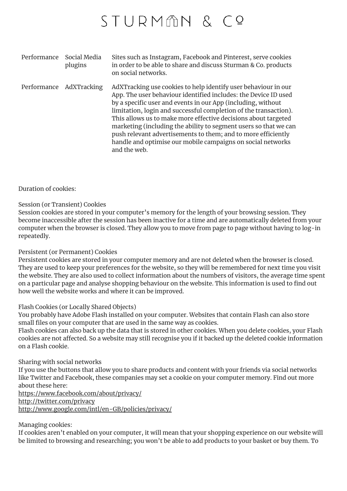| Performance Social Media | plugins | Sites such as Instagram, Facebook and Pinterest, serve cookies<br>in order to be able to share and discuss Sturman & Co. products<br>on social networks.                                                                                                                                                                                                                                                                                                                                                                                                    |
|--------------------------|---------|-------------------------------------------------------------------------------------------------------------------------------------------------------------------------------------------------------------------------------------------------------------------------------------------------------------------------------------------------------------------------------------------------------------------------------------------------------------------------------------------------------------------------------------------------------------|
| Performance AdXTracking  |         | AdXTracking use cookies to help identify user behaviour in our<br>App. The user behaviour identified includes: the Device ID used<br>by a specific user and events in our App (including, without<br>limitation, login and successful completion of the transaction).<br>This allows us to make more effective decisions about targeted<br>marketing (including the ability to segment users so that we can<br>push relevant advertisements to them; and to more efficiently<br>handle and optimise our mobile campaigns on social networks<br>and the web. |

### Duration of cookies:

### Session (or Transient) Cookies

Session cookies are stored in your computer's memory for the length of your browsing session. They become inaccessible after the session has been inactive for a time and are automatically deleted from your computer when the browser is closed. They allow you to move from page to page without having to log-in repeatedly.

### Persistent (or Permanent) Cookies

Persistent cookies are stored in your computer memory and are not deleted when the browser is closed. They are used to keep your preferences for the website, so they will be remembered for next time you visit the website. They are also used to collect information about the numbers of visitors, the average time spent on a particular page and analyse shopping behaviour on the website. This information is used to find out how well the website works and where it can be improved.

### Flash Cookies (or Locally Shared Objects)

You probably have Adobe Flash installed on your computer. Websites that contain Flash can also store small files on your computer that are used in the same way as cookies.

Flash cookies can also back up the data that is stored in other cookies. When you delete cookies, your Flash cookies are not affected. So a website may still recognise you if it backed up the deleted cookie information on a Flash cookie.

Sharing with social networks

If you use the buttons that allow you to share products and content with your friends via social networks like Twitter and Facebook, these companies may set a cookie on your computer memory. Find out more about these here:

<https://www.facebook.com/about/privacy/>

[http://twitter.com/privacy](https://twitter.com/privacy)

[http://www.google.com/intl/en-GB/policies/privacy/](https://www.google.com/intl/en-GB/policies/privacy/)

Managing cookies:

If cookies aren't enabled on your computer, it will mean that your shopping experience on our website will be limited to browsing and researching; you won't be able to add products to your basket or buy them. To